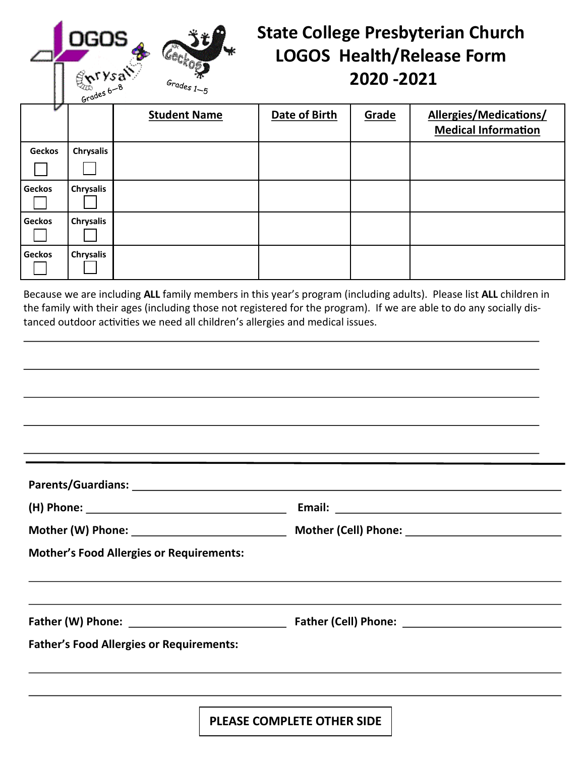## **State College Presbyterian Church LOGOS Health/Release Form 2020 -2021**

| v             | いー               |                     |               |       |                                                      |
|---------------|------------------|---------------------|---------------|-------|------------------------------------------------------|
|               |                  | <b>Student Name</b> | Date of Birth | Grade | Allergies/Medications/<br><b>Medical Information</b> |
| <b>Geckos</b> | Chrysalis        |                     |               |       |                                                      |
|               |                  |                     |               |       |                                                      |
| <b>Geckos</b> | <b>Chrysalis</b> |                     |               |       |                                                      |
| <b>Geckos</b> | <b>Chrysalis</b> |                     |               |       |                                                      |
| <b>Geckos</b> | <b>Chrysalis</b> |                     |               |       |                                                      |

 $G_{radeg}$ 

Because we are including **ALL** family members in this year's program (including adults). Please list **ALL** children in the family with their ages (including those not registered for the program). If we are able to do any socially distanced outdoor activities we need all children's allergies and medical issues.

|                                                 | <u> 1989 - Andrea Andrea Andrea Andrea Andrea Andrea Andrea Andrea Andrea Andrea Andrea Andrea Andrea Andrea And</u> |  |
|-------------------------------------------------|----------------------------------------------------------------------------------------------------------------------|--|
|                                                 |                                                                                                                      |  |
|                                                 |                                                                                                                      |  |
|                                                 |                                                                                                                      |  |
| <b>Mother's Food Allergies or Requirements:</b> |                                                                                                                      |  |
|                                                 |                                                                                                                      |  |
| <b>Father's Food Allergies or Requirements:</b> |                                                                                                                      |  |
|                                                 |                                                                                                                      |  |
|                                                 |                                                                                                                      |  |

**PLEASE COMPLETE OTHER SIDE**